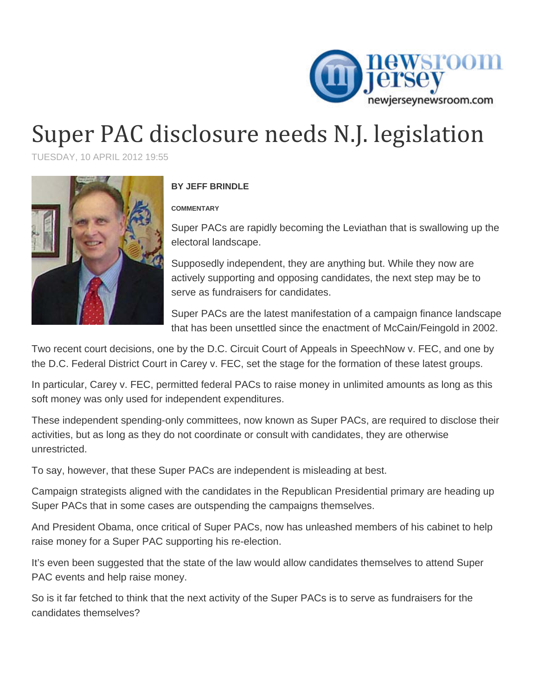

## Super PAC disclosure needs N.J. legislation

TUESDAY, 10 APRIL 2012 19:55



## **BY JEFF BRINDLE**

## **COMMENTARY**

Super PACs are rapidly becoming the Leviathan that is swallowing up the electoral landscape.

Supposedly independent, they are anything but. While they now are actively supporting and opposing candidates, the next step may be to serve as fundraisers for candidates.

Super PACs are the latest manifestation of a campaign finance landscape that has been unsettled since the enactment of McCain/Feingold in 2002.

Two recent court decisions, one by the D.C. Circuit Court of Appeals in SpeechNow v. FEC, and one by the D.C. Federal District Court in Carey v. FEC, set the stage for the formation of these latest groups.

In particular, Carey v. FEC, permitted federal PACs to raise money in unlimited amounts as long as this soft money was only used for independent expenditures.

These independent spending-only committees, now known as Super PACs, are required to disclose their activities, but as long as they do not coordinate or consult with candidates, they are otherwise unrestricted.

To say, however, that these Super PACs are independent is misleading at best.

Campaign strategists aligned with the candidates in the Republican Presidential primary are heading up Super PACs that in some cases are outspending the campaigns themselves.

And President Obama, once critical of Super PACs, now has unleashed members of his cabinet to help raise money for a Super PAC supporting his re-election.

It's even been suggested that the state of the law would allow candidates themselves to attend Super PAC events and help raise money.

So is it far fetched to think that the next activity of the Super PACs is to serve as fundraisers for the candidates themselves?